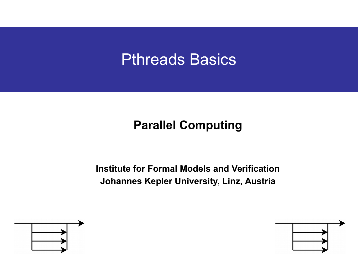# Pthreads Basics

### **Parallel Computing**

**Institute for Formal Models and Verification Johannes Kepler University, Linz, Austria**



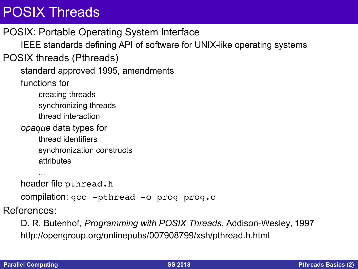## POSIX Threads

POSIX: Portable Operating System Interface IEEE standards defining API of software for UNIX-like operating systems POSIX threads (Pthreads) standard approved 1995, amendments functions for creating threads synchronizing threads thread interaction *opaque* data types for thread identifiers synchronization constructs attributes ... header file pthread.h

compilation:  $qcc$  -pthread -o prog prog.c

References:

D. R. Butenhof, *Programming with POSIX Threads*, Addison-Wesley, 1997 http://opengroup.org/onlinepubs/007908799/xsh/pthread.h.html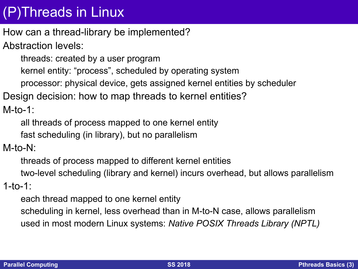# (P)Threads in Linux

How can a thread-library be implemented?

Abstraction levels:

threads: created by a user program

kernel entity: "process", scheduled by operating system

processor: physical device, gets assigned kernel entities by scheduler

Design decision: how to map threads to kernel entities?

 $M$ -to-1:

all threads of process mapped to one kernel entity

fast scheduling (in library), but no parallelism

#### M-to-N:

threads of process mapped to different kernel entities two-level scheduling (library and kernel) incurs overhead, but allows parallelism

1-to-1:

each thread mapped to one kernel entity

scheduling in kernel, less overhead than in M-to-N case, allows parallelism used in most modern Linux systems: *Native POSIX Threads Library (NPTL)*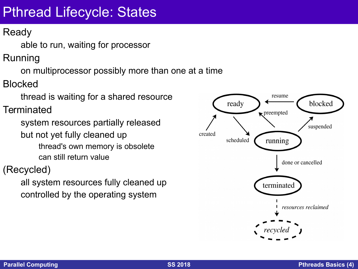# Pthread Lifecycle: States

### Ready

able to run, waiting for processor

Running

on multiprocessor possibly more than one at a time

Blocked

thread is waiting for a shared resource

**Terminated** 

system resources partially released but not yet fully cleaned up thread's own memory is obsolete can still return value

(Recycled)

all system resources fully cleaned up controlled by the operating system

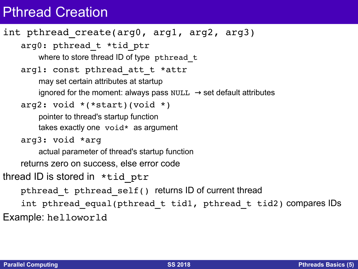### Pthread Creation

```
int pthread create(arg0, arg1, arg2, arg3)
    arg0: pthread_t *tid_ptr
        where to store thread ID of type pthread t
    arg1: const pthread att t *attr
        may set certain attributes at startup
        ignored for the moment: always pass NULL \rightarrow set default attributes
    arg2: void *(*start)(void *)
        pointer to thread's startup function
        takes exactly one void* as argument
    arg3: void *arg
        actual parameter of thread's startup function
    returns zero on success, else error code
thread ID is stored in *tid ptr
    pthread_t pthread_self() returns ID of current thread
    int pthread equal(pthread t tid1, pthread t tid2) compares IDs
Example: helloworld
```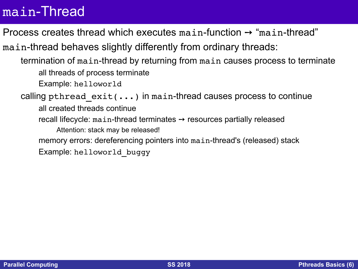### main-Thread

Process creates thread which executes main-function  $\rightarrow$  "main-thread"

main-thread behaves slightly differently from ordinary threads:

termination of main-thread by returning from main causes process to terminate all threads of process terminate

Example: helloworld

calling pthread  $exit(...)$  in main-thread causes process to continue

all created threads continue

recall lifecycle: main-thread terminates  $\rightarrow$  resources partially released

Attention: stack may be released!

memory errors: dereferencing pointers into main-thread's (released) stack

Example: helloworld\_buggy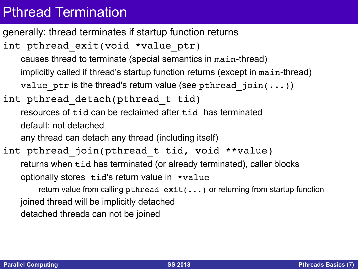## Pthread Termination

```
generally: thread terminates if startup function returns
int pthread_exit(void *value_ptr)
    causes thread to terminate (special semantics in main-thread)
    implicitly called if thread's startup function returns (except in main-thread)
    value ptr is the thread's return value (see pthread join(...)))
int pthread_detach(pthread_t tid)
    resources of tid can be reclaimed after tid has terminated
    default: not detached
    any thread can detach any thread (including itself)
int pthread join(pthread t tid, void **value)
    returns when tid has terminated (or already terminated), caller blocks
    optionally stores tid's return value in *value
        return value from calling pthread exit(...) or returning from startup function
    joined thread will be implicitly detached
    detached threads can not be joined
```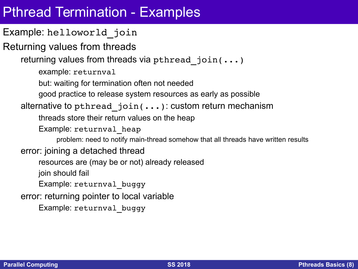## Pthread Termination - Examples

Example: helloworld\_join

Returning values from threads

returning values from threads via pthread join(...)

example: returnval

but: waiting for termination often not needed

good practice to release system resources as early as possible

#### alternative to pthread join(...): custom return mechanism

threads store their return values on the heap

Example: returnval heap

problem: need to notify main-thread somehow that all threads have written results

#### error: joining a detached thread

resources are (may be or not) already released

join should fail

Example: returnval\_buggy

error: returning pointer to local variable

Example: returnval\_buggy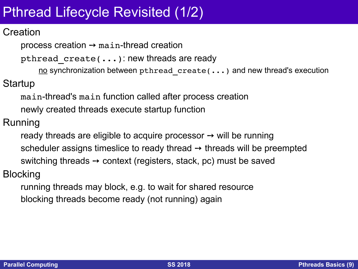# Pthread Lifecycle Revisited (1/2)

#### **Creation**

process creation  $\rightarrow$  main-thread creation

pthread create(...): new threads are ready

no synchronization between pthread create(...) and new thread's execution

Startup

main-thread's main function called after process creation newly created threads execute startup function

Running

ready threads are eligible to acquire processor  $\rightarrow$  will be running scheduler assigns timeslice to ready thread  $\rightarrow$  threads will be preempted switching threads  $\rightarrow$  context (registers, stack, pc) must be saved

Blocking

running threads may block, e.g. to wait for shared resource blocking threads become ready (not running) again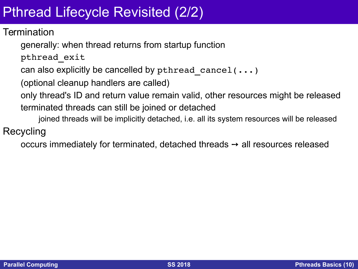# Pthread Lifecycle Revisited (2/2)

#### **Termination**

generally: when thread returns from startup function

pthread\_exit

can also explicitly be cancelled by pthread cancel(...)

(optional cleanup handlers are called)

only thread's ID and return value remain valid, other resources might be released terminated threads can still be joined or detached

joined threads will be implicitly detached, i.e. all its system resources will be released

#### Recycling

occurs immediately for terminated, detached threads  $\rightarrow$  all resources released